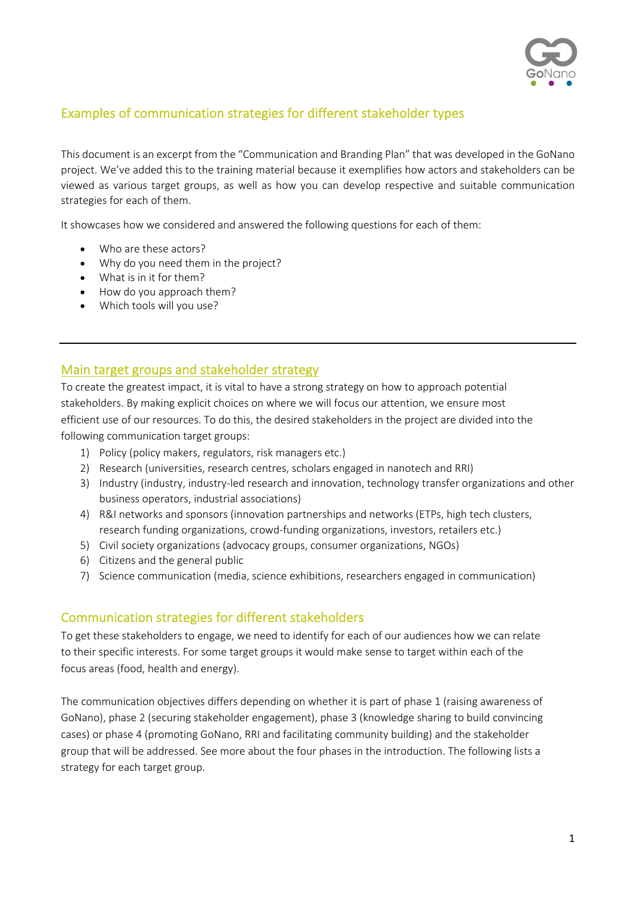

# Examples of communication strategies for different stakeholder types

This document is an excerpt from the "Communication and Branding Plan" that was developed in the GoNano project. We've added this to the training material because it exemplifies how actors and stakeholders can be viewed as various target groups, as well as how you can develop respective and suitable communication strategies for each of them.

It showcases how we considered and answered the following questions for each of them:

- Who are these actors?
- Why do you need them in the project?
- What is in it for them?
- How do you approach them?
- Which tools will you use?

# Main target groups and stakeholder strategy

To create the greatest impact, it is vital to have a strong strategy on how to approach potential stakeholders. By making explicit choices on where we will focus our attention, we ensure most efficient use of our resources. To do this, the desired stakeholders in the project are divided into the following communication target groups:

- 1) Policy (policy makers, regulators, risk managers etc.)
- 2) Research (universities, research centres, scholars engaged in nanotech and RRI)
- 3) Industry (industry, industry-led research and innovation, technology transfer organizations and other business operators, industrial associations)
- 4) R&I networks and sponsors (innovation partnerships and networks (ETPs, high tech clusters, research funding organizations, crowd-funding organizations, investors, retailers etc.)
- 5) Civil society organizations (advocacy groups, consumer organizations, NGOs)
- 6) Citizens and the general public
- 7) Science communication (media, science exhibitions, researchers engaged in communication)

# Communication strategies for different stakeholders

To get these stakeholders to engage, we need to identify for each of our audiences how we can relate to their specific interests. For some target groups it would make sense to target within each of the focus areas (food, health and energy).

The communication objectives differs depending on whether it is part of phase 1 (raising awareness of GoNano), phase 2 (securing stakeholder engagement), phase 3 (knowledge sharing to build convincing cases) or phase 4 (promoting GoNano, RRI and facilitating community building) and the stakeholder group that will be addressed. See more about the four phases in the introduction. The following lists a strategy for each target group.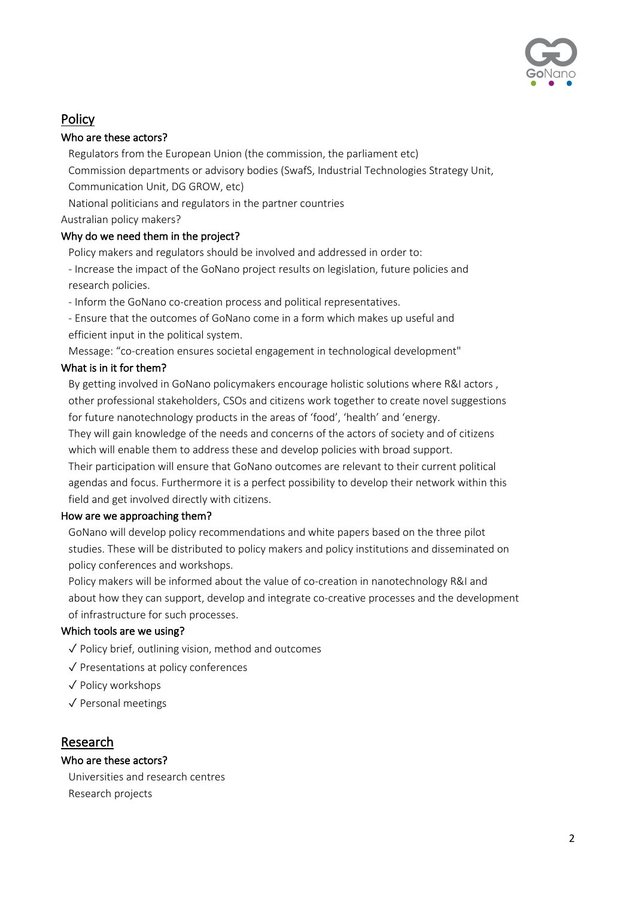

# **Policy**

## Who are these actors?

Regulators from the European Union (the commission, the parliament etc) Commission departments or advisory bodies (SwafS, Industrial Technologies Strategy Unit, Communication Unit, DG GROW, etc)

National politicians and regulators in the partner countries

Australian policy makers?

# Why do we need them in the project?

Policy makers and regulators should be involved and addressed in order to:

- Increase the impact of the GoNano project results on legislation, future policies and research policies.

- Inform the GoNano co-creation process and political representatives.

- Ensure that the outcomes of GoNano come in a form which makes up useful and efficient input in the political system.

Message: "co-creation ensures societal engagement in technological development"

## What is in it for them?

By getting involved in GoNano policymakers encourage holistic solutions where R&I actors , other professional stakeholders, CSOs and citizens work together to create novel suggestions for future nanotechnology products in the areas of 'food', 'health' and 'energy.

They will gain knowledge of the needs and concerns of the actors of society and of citizens which will enable them to address these and develop policies with broad support.

Their participation will ensure that GoNano outcomes are relevant to their current political agendas and focus. Furthermore it is a perfect possibility to develop their network within this field and get involved directly with citizens.

## How are we approaching them?

GoNano will develop policy recommendations and white papers based on the three pilot studies. These will be distributed to policy makers and policy institutions and disseminated on policy conferences and workshops.

Policy makers will be informed about the value of co-creation in nanotechnology R&I and about how they can support, develop and integrate co-creative processes and the development of infrastructure for such processes.

## Which tools are we using?

- ✓ Policy brief, outlining vision, method and outcomes
- ✓ Presentations at policy conferences
- ✓ Policy workshops
- ✓ Personal meetings

# Research

# Who are these actors?

Universities and research centres Research projects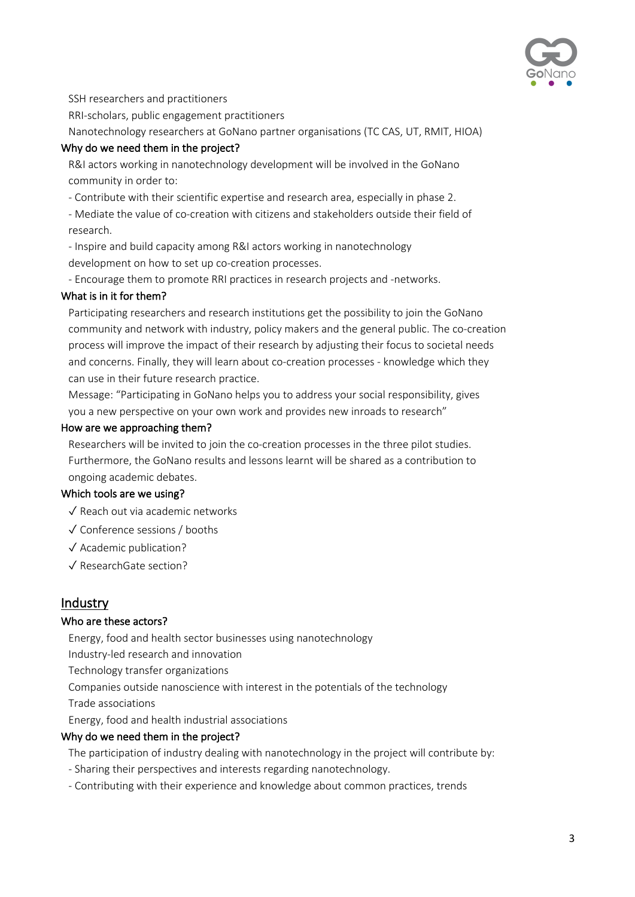

SSH researchers and practitioners

RRI-scholars, public engagement practitioners

Nanotechnology researchers at GoNano partner organisations (TC CAS, UT, RMIT, HIOA)

## Why do we need them in the project?

R&I actors working in nanotechnology development will be involved in the GoNano community in order to:

- Contribute with their scientific expertise and research area, especially in phase 2.

- Mediate the value of co-creation with citizens and stakeholders outside their field of research.

- Inspire and build capacity among R&I actors working in nanotechnology development on how to set up co-creation processes.

- Encourage them to promote RRI practices in research projects and -networks.

#### What is in it for them?

Participating researchers and research institutions get the possibility to join the GoNano community and network with industry, policy makers and the general public. The co-creation process will improve the impact of their research by adjusting their focus to societal needs and concerns. Finally, they will learn about co-creation processes - knowledge which they can use in their future research practice.

Message: "Participating in GoNano helps you to address your social responsibility, gives you a new perspective on your own work and provides new inroads to research"

### How are we approaching them?

Researchers will be invited to join the co-creation processes in the three pilot studies. Furthermore, the GoNano results and lessons learnt will be shared as a contribution to ongoing academic debates.

## Which tools are we using?

✓ Reach out via academic networks

- ✓ Conference sessions / booths
- ✓ Academic publication?
- ✓ ResearchGate section?

# **Industry**

#### Who are these actors?

Energy, food and health sector businesses using nanotechnology

Industry-led research and innovation

Technology transfer organizations

Companies outside nanoscience with interest in the potentials of the technology

Trade associations

Energy, food and health industrial associations

#### Why do we need them in the project?

The participation of industry dealing with nanotechnology in the project will contribute by:

- Sharing their perspectives and interests regarding nanotechnology.
- Contributing with their experience and knowledge about common practices, trends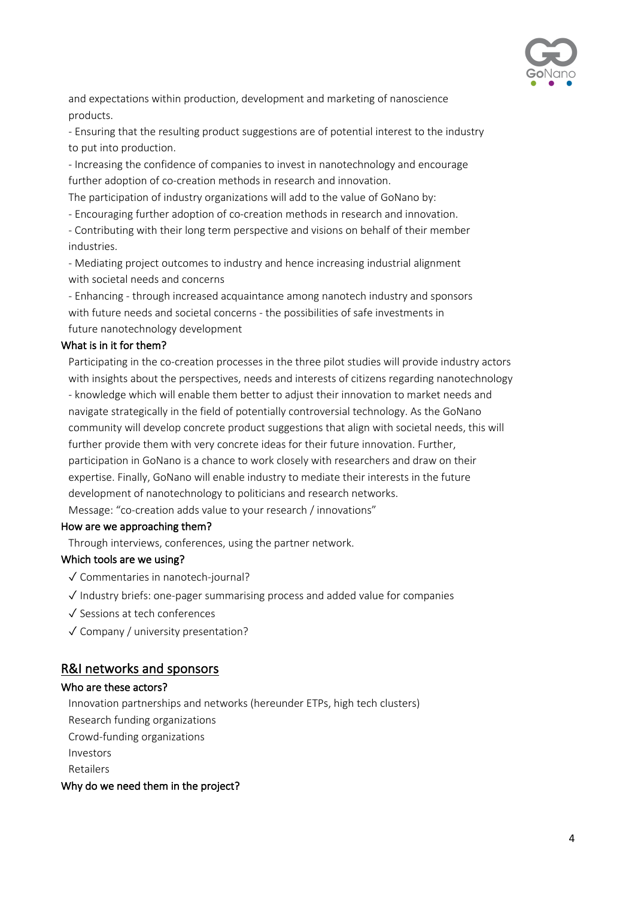

and expectations within production, development and marketing of nanoscience products.

- Ensuring that the resulting product suggestions are of potential interest to the industry to put into production.

- Increasing the confidence of companies to invest in nanotechnology and encourage further adoption of co-creation methods in research and innovation.

The participation of industry organizations will add to the value of GoNano by:

- Encouraging further adoption of co-creation methods in research and innovation.

- Contributing with their long term perspective and visions on behalf of their member industries.

- Mediating project outcomes to industry and hence increasing industrial alignment with societal needs and concerns

- Enhancing - through increased acquaintance among nanotech industry and sponsors with future needs and societal concerns - the possibilities of safe investments in future nanotechnology development

## What is in it for them?

Participating in the co-creation processes in the three pilot studies will provide industry actors with insights about the perspectives, needs and interests of citizens regarding nanotechnology - knowledge which will enable them better to adjust their innovation to market needs and navigate strategically in the field of potentially controversial technology. As the GoNano community will develop concrete product suggestions that align with societal needs, this will further provide them with very concrete ideas for their future innovation. Further, participation in GoNano is a chance to work closely with researchers and draw on their expertise. Finally, GoNano will enable industry to mediate their interests in the future development of nanotechnology to politicians and research networks. Message: "co-creation adds value to your research / innovations"

## How are we approaching them?

Through interviews, conferences, using the partner network.

## Which tools are we using?

- ✓ Commentaries in nanotech-journal?
- ✓ Industry briefs: one-pager summarising process and added value for companies
- ✓ Sessions at tech conferences
- ✓ Company / university presentation?

# R&I networks and sponsors

#### Who are these actors?

Innovation partnerships and networks (hereunder ETPs, high tech clusters) Research funding organizations Crowd-funding organizations Investors Retailers

#### Why do we need them in the project?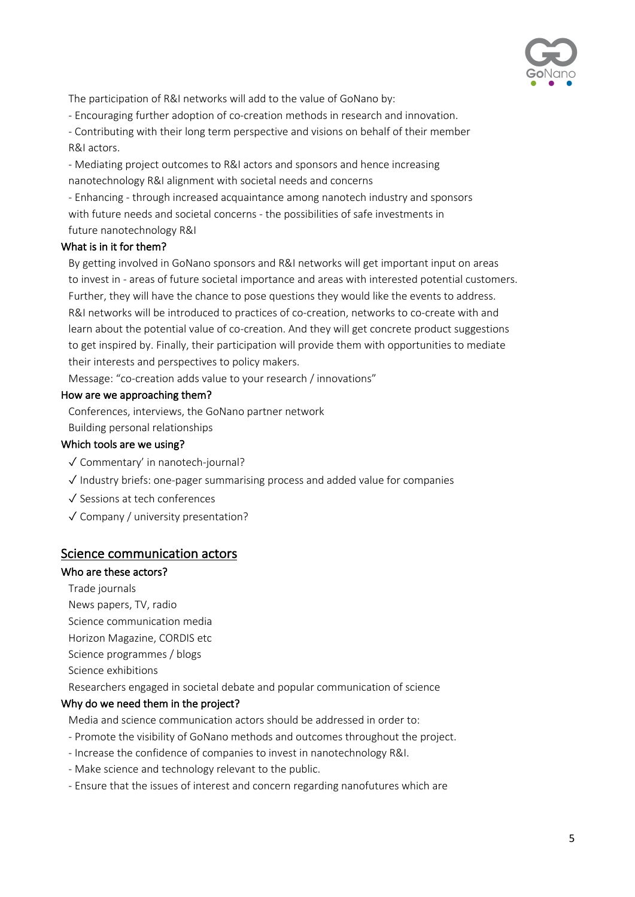

The participation of R&I networks will add to the value of GoNano by:

- Encouraging further adoption of co-creation methods in research and innovation.

- Contributing with their long term perspective and visions on behalf of their member R&I actors.

- Mediating project outcomes to R&I actors and sponsors and hence increasing nanotechnology R&I alignment with societal needs and concerns

- Enhancing - through increased acquaintance among nanotech industry and sponsors with future needs and societal concerns - the possibilities of safe investments in future nanotechnology R&I

## What is in it for them?

By getting involved in GoNano sponsors and R&I networks will get important input on areas to invest in - areas of future societal importance and areas with interested potential customers. Further, they will have the chance to pose questions they would like the events to address. R&I networks will be introduced to practices of co-creation, networks to co-create with and learn about the potential value of co-creation. And they will get concrete product suggestions to get inspired by. Finally, their participation will provide them with opportunities to mediate their interests and perspectives to policy makers.

Message: "co-creation adds value to your research / innovations"

### How are we approaching them?

Conferences, interviews, the GoNano partner network

Building personal relationships

## Which tools are we using?

- ✓ Commentary' in nanotech-journal?
- ✓ Industry briefs: one-pager summarising process and added value for companies
- ✓ Sessions at tech conferences
- ✓ Company / university presentation?

## Science communication actors

### Who are these actors?

Trade journals

- News papers, TV, radio
- Science communication media
- Horizon Magazine, CORDIS etc
- Science programmes / blogs
- Science exhibitions

Researchers engaged in societal debate and popular communication of science

## Why do we need them in the project?

Media and science communication actors should be addressed in order to:

- Promote the visibility of GoNano methods and outcomes throughout the project.
- Increase the confidence of companies to invest in nanotechnology R&I.
- Make science and technology relevant to the public.
- Ensure that the issues of interest and concern regarding nanofutures which are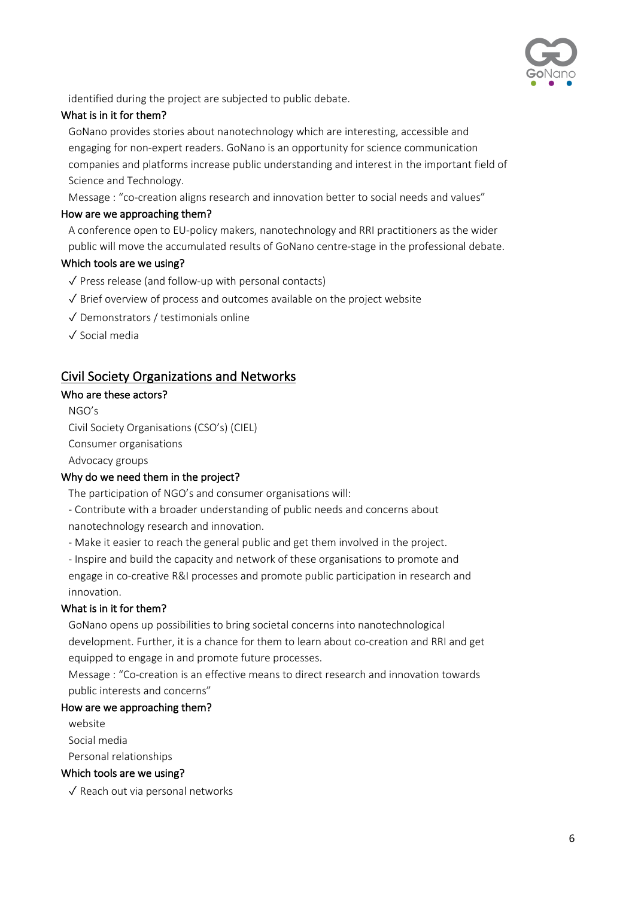

identified during the project are subjected to public debate.

### What is in it for them?

GoNano provides stories about nanotechnology which are interesting, accessible and engaging for non-expert readers. GoNano is an opportunity for science communication companies and platforms increase public understanding and interest in the important field of Science and Technology.

Message : "co-creation aligns research and innovation better to social needs and values"

### How are we approaching them?

A conference open to EU-policy makers, nanotechnology and RRI practitioners as the wider public will move the accumulated results of GoNano centre-stage in the professional debate.

### Which tools are we using?

- ✓ Press release (and follow-up with personal contacts)
- ✓ Brief overview of process and outcomes available on the project website
- ✓ Demonstrators / testimonials online
- ✓ Social media

# Civil Society Organizations and Networks

### Who are these actors?

NGO's Civil Society Organisations (CSO's) (CIEL) Consumer organisations

Advocacy groups

## Why do we need them in the project?

The participation of NGO's and consumer organisations will:

- Contribute with a broader understanding of public needs and concerns about nanotechnology research and innovation.

- Make it easier to reach the general public and get them involved in the project.
- Inspire and build the capacity and network of these organisations to promote and engage in co-creative R&I processes and promote public participation in research and innovation.

#### What is in it for them?

GoNano opens up possibilities to bring societal concerns into nanotechnological development. Further, it is a chance for them to learn about co-creation and RRI and get equipped to engage in and promote future processes.

Message : "Co-creation is an effective means to direct research and innovation towards public interests and concerns"

## How are we approaching them?

website Social media Personal relationships

#### Which tools are we using?

✓ Reach out via personal networks